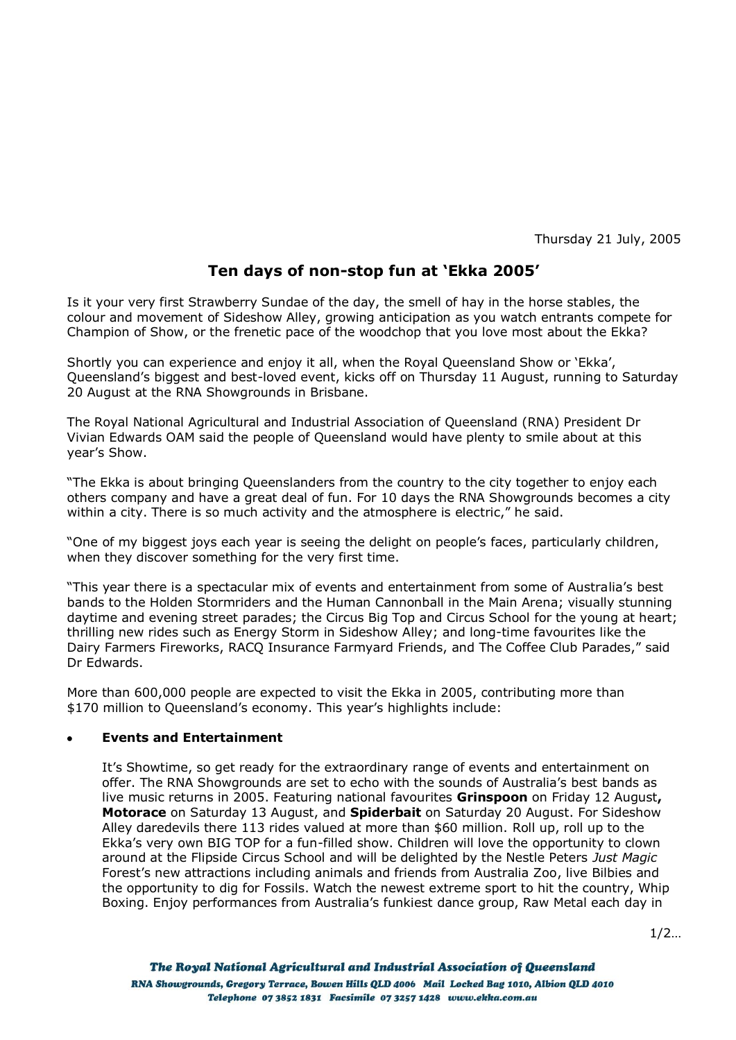Thursday 21 July, 2005

# **Ten days of non-stop fun at 'Ekka 2005'**

Is it your very first Strawberry Sundae of the day, the smell of hay in the horse stables, the colour and movement of Sideshow Alley, growing anticipation as you watch entrants compete for Champion of Show, or the frenetic pace of the woodchop that you love most about the Ekka?

Shortly you can experience and enjoy it all, when the Royal Queensland Show or "Ekka", Queensland"s biggest and best-loved event, kicks off on Thursday 11 August, running to Saturday 20 August at the RNA Showgrounds in Brisbane.

The Royal National Agricultural and Industrial Association of Queensland (RNA) President Dr Vivian Edwards OAM said the people of Queensland would have plenty to smile about at this year"s Show.

"The Ekka is about bringing Queenslanders from the country to the city together to enjoy each others company and have a great deal of fun. For 10 days the RNA Showgrounds becomes a city within a city. There is so much activity and the atmosphere is electric," he said.

"One of my biggest joys each year is seeing the delight on people"s faces, particularly children, when they discover something for the very first time.

"This year there is a spectacular mix of events and entertainment from some of Australia"s best bands to the Holden Stormriders and the Human Cannonball in the Main Arena; visually stunning daytime and evening street parades; the Circus Big Top and Circus School for the young at heart; thrilling new rides such as Energy Storm in Sideshow Alley; and long-time favourites like the Dairy Farmers Fireworks, RACQ Insurance Farmyard Friends, and The Coffee Club Parades," said Dr Edwards.

More than 600,000 people are expected to visit the Ekka in 2005, contributing more than \$170 million to Queensland's economy. This year's highlights include:

## **Events and Entertainment**

It's Showtime, so get ready for the extraordinary range of events and entertainment on offer. The RNA Showgrounds are set to echo with the sounds of Australia"s best bands as live music returns in 2005. Featuring national favourites **Grinspoon** on Friday 12 August**, Motorace** on Saturday 13 August, and **Spiderbait** on Saturday 20 August. For Sideshow Alley daredevils there 113 rides valued at more than \$60 million. Roll up, roll up to the Ekka"s very own BIG TOP for a fun-filled show. Children will love the opportunity to clown around at the Flipside Circus School and will be delighted by the Nestle Peters *Just Magic* Forest"s new attractions including animals and friends from Australia Zoo, live Bilbies and the opportunity to dig for Fossils. Watch the newest extreme sport to hit the country, Whip Boxing. Enjoy performances from Australia"s funkiest dance group, Raw Metal each day in

 $1/2...$